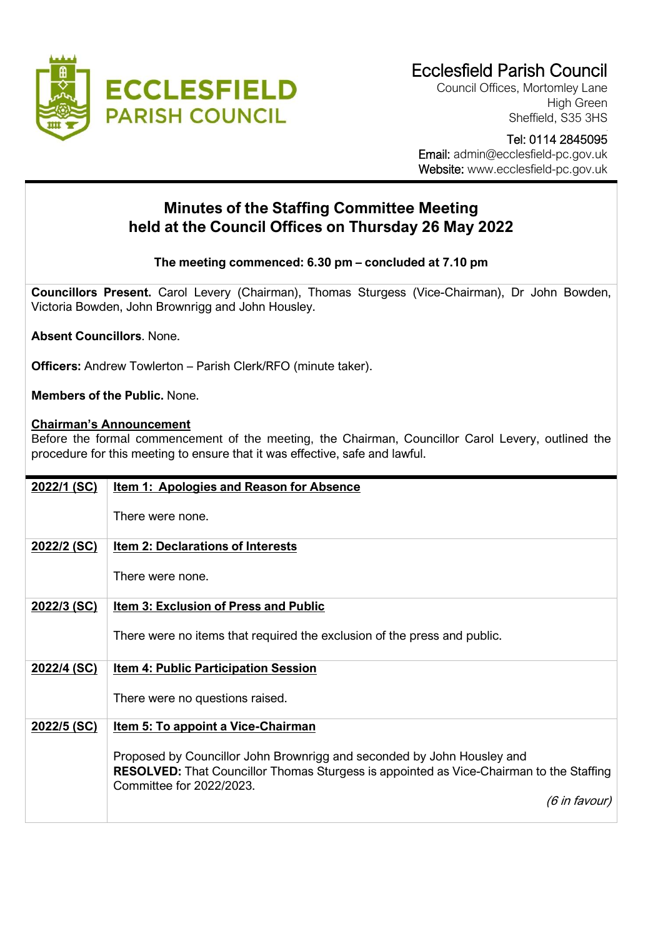

## Ecclesfield Parish Council

Council Offices, Mortomley Lane High Green Sheffield, S35 3HS

# Tel: 0114 2845095

 Email: admin@ecclesfield-pc.gov.uk Website: [www.ecclesfield-pc.gov.uk](http://www.ecclesfield-pc.gov.uk/)

## **Minutes of the Staffing Committee Meeting held at the Council Offices on Thursday 26 May 2022**

### **The meeting commenced: 6.30 pm – concluded at 7.10 pm**

**Councillors Present.** Carol Levery (Chairman), Thomas Sturgess (Vice-Chairman), Dr John Bowden, Victoria Bowden, John Brownrigg and John Housley.

**Absent Councillors**. None.

**Officers:** Andrew Towlerton – Parish Clerk/RFO (minute taker).

**Members of the Public.** None.

#### **Chairman's Announcement**

Before the formal commencement of the meeting, the Chairman, Councillor Carol Levery, outlined the procedure for this meeting to ensure that it was effective, safe and lawful.

| 2022/1 (SC)        | <b>Item 1: Apologies and Reason for Absence</b>                                                                                                                                                                       |
|--------------------|-----------------------------------------------------------------------------------------------------------------------------------------------------------------------------------------------------------------------|
|                    | There were none.                                                                                                                                                                                                      |
| <u>2022/2 (SC)</u> | <b>Item 2: Declarations of Interests</b>                                                                                                                                                                              |
|                    | There were none.                                                                                                                                                                                                      |
| 2022/3 (SC)        | Item 3: Exclusion of Press and Public                                                                                                                                                                                 |
|                    | There were no items that required the exclusion of the press and public.                                                                                                                                              |
| 2022/4 (SC)        | <b>Item 4: Public Participation Session</b>                                                                                                                                                                           |
|                    | There were no questions raised.                                                                                                                                                                                       |
| <u>2022/5 (SC)</u> | <b>Item 5: To appoint a Vice-Chairman</b>                                                                                                                                                                             |
|                    | Proposed by Councillor John Brownrigg and seconded by John Housley and<br><b>RESOLVED:</b> That Councillor Thomas Sturgess is appointed as Vice-Chairman to the Staffing<br>Committee for 2022/2023.<br>(6 in favour) |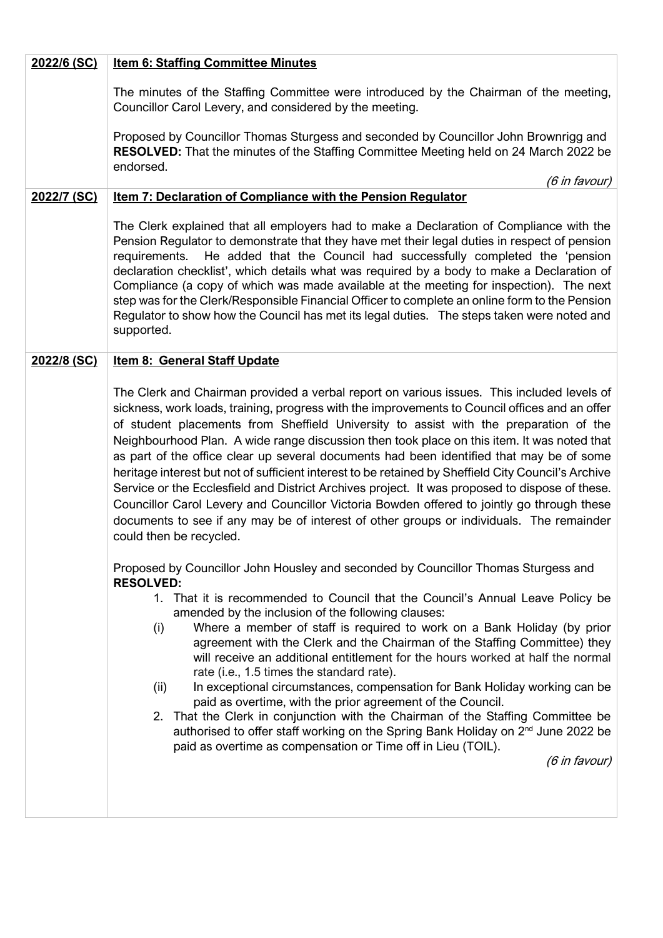| 2022/6 (SC) | <b>Item 6: Staffing Committee Minutes</b>                                                                                                                                                                                                                                                                                                                                                                                                                                                                                                                                                                                                                                                                                                                                                                                                                                                                                                                            |
|-------------|----------------------------------------------------------------------------------------------------------------------------------------------------------------------------------------------------------------------------------------------------------------------------------------------------------------------------------------------------------------------------------------------------------------------------------------------------------------------------------------------------------------------------------------------------------------------------------------------------------------------------------------------------------------------------------------------------------------------------------------------------------------------------------------------------------------------------------------------------------------------------------------------------------------------------------------------------------------------|
|             | The minutes of the Staffing Committee were introduced by the Chairman of the meeting,<br>Councillor Carol Levery, and considered by the meeting.                                                                                                                                                                                                                                                                                                                                                                                                                                                                                                                                                                                                                                                                                                                                                                                                                     |
|             | Proposed by Councillor Thomas Sturgess and seconded by Councillor John Brownrigg and<br><b>RESOLVED:</b> That the minutes of the Staffing Committee Meeting held on 24 March 2022 be<br>endorsed.                                                                                                                                                                                                                                                                                                                                                                                                                                                                                                                                                                                                                                                                                                                                                                    |
|             | (6 in favour)                                                                                                                                                                                                                                                                                                                                                                                                                                                                                                                                                                                                                                                                                                                                                                                                                                                                                                                                                        |
| 2022/7 (SC) | <b>Item 7: Declaration of Compliance with the Pension Regulator</b>                                                                                                                                                                                                                                                                                                                                                                                                                                                                                                                                                                                                                                                                                                                                                                                                                                                                                                  |
|             | The Clerk explained that all employers had to make a Declaration of Compliance with the<br>Pension Regulator to demonstrate that they have met their legal duties in respect of pension<br>He added that the Council had successfully completed the 'pension<br>requirements.<br>declaration checklist', which details what was required by a body to make a Declaration of<br>Compliance (a copy of which was made available at the meeting for inspection). The next<br>step was for the Clerk/Responsible Financial Officer to complete an online form to the Pension<br>Regulator to show how the Council has met its legal duties. The steps taken were noted and<br>supported.                                                                                                                                                                                                                                                                                 |
| 2022/8 (SC) | <b>Item 8: General Staff Update</b>                                                                                                                                                                                                                                                                                                                                                                                                                                                                                                                                                                                                                                                                                                                                                                                                                                                                                                                                  |
|             | The Clerk and Chairman provided a verbal report on various issues. This included levels of<br>sickness, work loads, training, progress with the improvements to Council offices and an offer<br>of student placements from Sheffield University to assist with the preparation of the<br>Neighbourhood Plan. A wide range discussion then took place on this item. It was noted that<br>as part of the office clear up several documents had been identified that may be of some<br>heritage interest but not of sufficient interest to be retained by Sheffield City Council's Archive<br>Service or the Ecclesfield and District Archives project. It was proposed to dispose of these.<br>Councillor Carol Levery and Councillor Victoria Bowden offered to jointly go through these<br>documents to see if any may be of interest of other groups or individuals. The remainder<br>could then be recycled.                                                       |
|             | Proposed by Councillor John Housley and seconded by Councillor Thomas Sturgess and<br><b>RESOLVED:</b><br>1. That it is recommended to Council that the Council's Annual Leave Policy be<br>amended by the inclusion of the following clauses:<br>Where a member of staff is required to work on a Bank Holiday (by prior<br>(i)<br>agreement with the Clerk and the Chairman of the Staffing Committee) they<br>will receive an additional entitlement for the hours worked at half the normal<br>rate (i.e., 1.5 times the standard rate).<br>In exceptional circumstances, compensation for Bank Holiday working can be<br>(ii)<br>paid as overtime, with the prior agreement of the Council.<br>2. That the Clerk in conjunction with the Chairman of the Staffing Committee be<br>authorised to offer staff working on the Spring Bank Holiday on 2 <sup>nd</sup> June 2022 be<br>paid as overtime as compensation or Time off in Lieu (TOIL).<br>(6 in favour) |